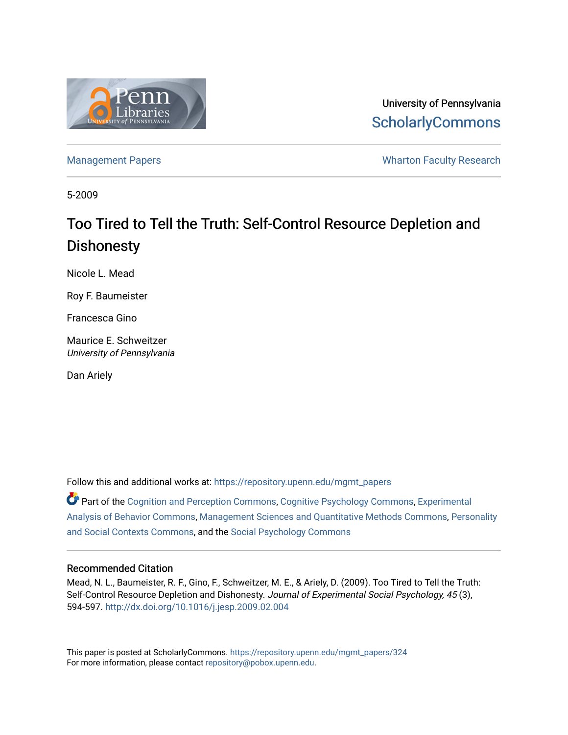

University of Pennsylvania **ScholarlyCommons** 

[Management Papers](https://repository.upenn.edu/mgmt_papers) **Management Papers** Wharton Faculty Research

5-2009

# Too Tired to Tell the Truth: Self-Control Resource Depletion and **Dishonesty**

Nicole L. Mead

Roy F. Baumeister

Francesca Gino

Maurice E. Schweitzer University of Pennsylvania

Dan Ariely

Follow this and additional works at: [https://repository.upenn.edu/mgmt\\_papers](https://repository.upenn.edu/mgmt_papers?utm_source=repository.upenn.edu%2Fmgmt_papers%2F324&utm_medium=PDF&utm_campaign=PDFCoverPages) 

Part of the [Cognition and Perception Commons,](http://network.bepress.com/hgg/discipline/407?utm_source=repository.upenn.edu%2Fmgmt_papers%2F324&utm_medium=PDF&utm_campaign=PDFCoverPages) [Cognitive Psychology Commons](http://network.bepress.com/hgg/discipline/408?utm_source=repository.upenn.edu%2Fmgmt_papers%2F324&utm_medium=PDF&utm_campaign=PDFCoverPages), [Experimental](http://network.bepress.com/hgg/discipline/1236?utm_source=repository.upenn.edu%2Fmgmt_papers%2F324&utm_medium=PDF&utm_campaign=PDFCoverPages)  [Analysis of Behavior Commons,](http://network.bepress.com/hgg/discipline/1236?utm_source=repository.upenn.edu%2Fmgmt_papers%2F324&utm_medium=PDF&utm_campaign=PDFCoverPages) [Management Sciences and Quantitative Methods Commons](http://network.bepress.com/hgg/discipline/637?utm_source=repository.upenn.edu%2Fmgmt_papers%2F324&utm_medium=PDF&utm_campaign=PDFCoverPages), [Personality](http://network.bepress.com/hgg/discipline/413?utm_source=repository.upenn.edu%2Fmgmt_papers%2F324&utm_medium=PDF&utm_campaign=PDFCoverPages) [and Social Contexts Commons,](http://network.bepress.com/hgg/discipline/413?utm_source=repository.upenn.edu%2Fmgmt_papers%2F324&utm_medium=PDF&utm_campaign=PDFCoverPages) and the [Social Psychology Commons](http://network.bepress.com/hgg/discipline/414?utm_source=repository.upenn.edu%2Fmgmt_papers%2F324&utm_medium=PDF&utm_campaign=PDFCoverPages)

# Recommended Citation

Mead, N. L., Baumeister, R. F., Gino, F., Schweitzer, M. E., & Ariely, D. (2009). Too Tired to Tell the Truth: Self-Control Resource Depletion and Dishonesty. Journal of Experimental Social Psychology, 45 (3), 594-597. <http://dx.doi.org/10.1016/j.jesp.2009.02.004>

This paper is posted at ScholarlyCommons. [https://repository.upenn.edu/mgmt\\_papers/324](https://repository.upenn.edu/mgmt_papers/324)  For more information, please contact [repository@pobox.upenn.edu.](mailto:repository@pobox.upenn.edu)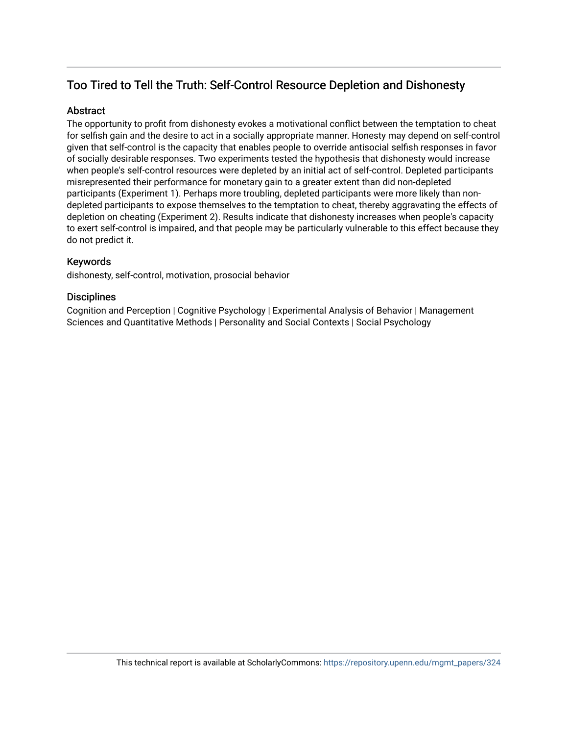# Too Tired to Tell the Truth: Self-Control Resource Depletion and Dishonesty

# **Abstract**

The opportunity to profit from dishonesty evokes a motivational conflict between the temptation to cheat for selfish gain and the desire to act in a socially appropriate manner. Honesty may depend on self-control given that self-control is the capacity that enables people to override antisocial selfish responses in favor of socially desirable responses. Two experiments tested the hypothesis that dishonesty would increase when people's self-control resources were depleted by an initial act of self-control. Depleted participants misrepresented their performance for monetary gain to a greater extent than did non-depleted participants (Experiment 1). Perhaps more troubling, depleted participants were more likely than nondepleted participants to expose themselves to the temptation to cheat, thereby aggravating the effects of depletion on cheating (Experiment 2). Results indicate that dishonesty increases when people's capacity to exert self-control is impaired, and that people may be particularly vulnerable to this effect because they do not predict it.

# Keywords

dishonesty, self-control, motivation, prosocial behavior

# **Disciplines**

Cognition and Perception | Cognitive Psychology | Experimental Analysis of Behavior | Management Sciences and Quantitative Methods | Personality and Social Contexts | Social Psychology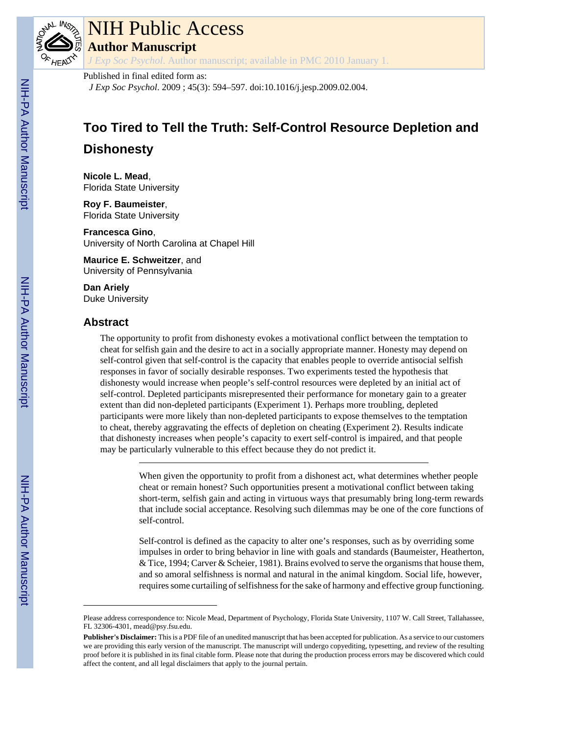

# NIH Public Access

**Author Manuscript**

*J Exp Soc Psychol*. Author manuscript; available in PMC 2010 January 1.

# Published in final edited form as:

*J Exp Soc Psychol*. 2009 ; 45(3): 594–597. doi:10.1016/j.jesp.2009.02.004.

# **Too Tired to Tell the Truth: Self-Control Resource Depletion and Dishonesty**

**Nicole L. Mead**, Florida State University

**Roy F. Baumeister**, Florida State University

**Francesca Gino**, University of North Carolina at Chapel Hill

**Maurice E. Schweitzer**, and University of Pennsylvania

**Dan Ariely** Duke University

# **Abstract**

The opportunity to profit from dishonesty evokes a motivational conflict between the temptation to cheat for selfish gain and the desire to act in a socially appropriate manner. Honesty may depend on self-control given that self-control is the capacity that enables people to override antisocial selfish responses in favor of socially desirable responses. Two experiments tested the hypothesis that dishonesty would increase when people's self-control resources were depleted by an initial act of self-control. Depleted participants misrepresented their performance for monetary gain to a greater extent than did non-depleted participants (Experiment 1). Perhaps more troubling, depleted participants were more likely than non-depleted participants to expose themselves to the temptation to cheat, thereby aggravating the effects of depletion on cheating (Experiment 2). Results indicate that dishonesty increases when people's capacity to exert self-control is impaired, and that people may be particularly vulnerable to this effect because they do not predict it.

> When given the opportunity to profit from a dishonest act, what determines whether people cheat or remain honest? Such opportunities present a motivational conflict between taking short-term, selfish gain and acting in virtuous ways that presumably bring long-term rewards that include social acceptance. Resolving such dilemmas may be one of the core functions of self-control.

> Self-control is defined as the capacity to alter one's responses, such as by overriding some impulses in order to bring behavior in line with goals and standards (Baumeister, Heatherton, & Tice, 1994; Carver & Scheier, 1981). Brains evolved to serve the organisms that house them, and so amoral selfishness is normal and natural in the animal kingdom. Social life, however, requires some curtailing of selfishness for the sake of harmony and effective group functioning.

Please address correspondence to: Nicole Mead, Department of Psychology, Florida State University, 1107 W. Call Street, Tallahassee, FL 32306-4301, mead@psy.fsu.edu.

**Publisher's Disclaimer:** This is a PDF file of an unedited manuscript that has been accepted for publication. As a service to our customers we are providing this early version of the manuscript. The manuscript will undergo copyediting, typesetting, and review of the resulting proof before it is published in its final citable form. Please note that during the production process errors may be discovered which could affect the content, and all legal disclaimers that apply to the journal pertain.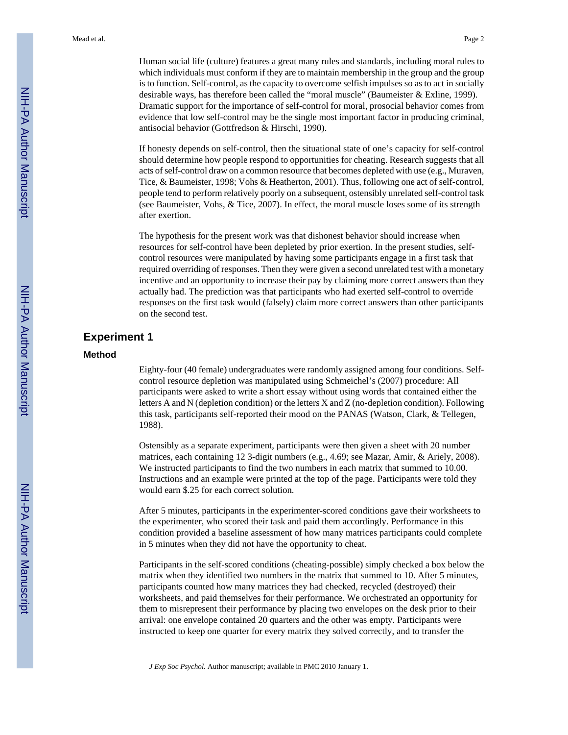Human social life (culture) features a great many rules and standards, including moral rules to which individuals must conform if they are to maintain membership in the group and the group is to function. Self-control, as the capacity to overcome selfish impulses so as to act in socially desirable ways, has therefore been called the "moral muscle" (Baumeister & Exline, 1999). Dramatic support for the importance of self-control for moral, prosocial behavior comes from evidence that low self-control may be the single most important factor in producing criminal, antisocial behavior (Gottfredson & Hirschi, 1990).

If honesty depends on self-control, then the situational state of one's capacity for self-control should determine how people respond to opportunities for cheating. Research suggests that all acts of self-control draw on a common resource that becomes depleted with use (e.g., Muraven, Tice, & Baumeister, 1998; Vohs & Heatherton, 2001). Thus, following one act of self-control, people tend to perform relatively poorly on a subsequent, ostensibly unrelated self-control task (see Baumeister, Vohs, & Tice, 2007). In effect, the moral muscle loses some of its strength after exertion.

The hypothesis for the present work was that dishonest behavior should increase when resources for self-control have been depleted by prior exertion. In the present studies, selfcontrol resources were manipulated by having some participants engage in a first task that required overriding of responses. Then they were given a second unrelated test with a monetary incentive and an opportunity to increase their pay by claiming more correct answers than they actually had. The prediction was that participants who had exerted self-control to override responses on the first task would (falsely) claim more correct answers than other participants on the second test.

#### **Experiment 1**

#### **Method**

Eighty-four (40 female) undergraduates were randomly assigned among four conditions. Selfcontrol resource depletion was manipulated using Schmeichel's (2007) procedure: All participants were asked to write a short essay without using words that contained either the letters A and N (depletion condition) or the letters X and Z (no-depletion condition). Following this task, participants self-reported their mood on the PANAS (Watson, Clark, & Tellegen, 1988).

Ostensibly as a separate experiment, participants were then given a sheet with 20 number matrices, each containing 12 3-digit numbers (e.g., 4.69; see Mazar, Amir, & Ariely, 2008). We instructed participants to find the two numbers in each matrix that summed to 10.00. Instructions and an example were printed at the top of the page. Participants were told they would earn \$.25 for each correct solution.

After 5 minutes, participants in the experimenter-scored conditions gave their worksheets to the experimenter, who scored their task and paid them accordingly. Performance in this condition provided a baseline assessment of how many matrices participants could complete in 5 minutes when they did not have the opportunity to cheat.

Participants in the self-scored conditions (cheating-possible) simply checked a box below the matrix when they identified two numbers in the matrix that summed to 10. After 5 minutes, participants counted how many matrices they had checked, recycled (destroyed) their worksheets, and paid themselves for their performance. We orchestrated an opportunity for them to misrepresent their performance by placing two envelopes on the desk prior to their arrival: one envelope contained 20 quarters and the other was empty. Participants were instructed to keep one quarter for every matrix they solved correctly, and to transfer the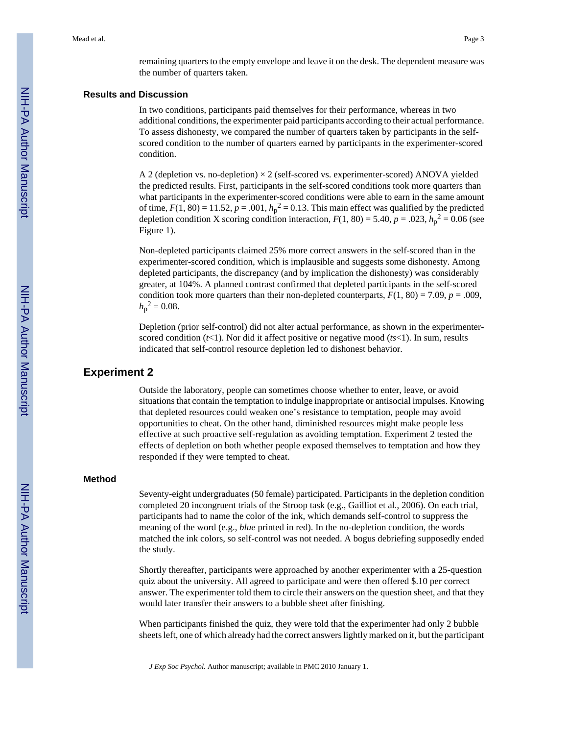remaining quarters to the empty envelope and leave it on the desk. The dependent measure was the number of quarters taken.

#### **Results and Discussion**

In two conditions, participants paid themselves for their performance, whereas in two additional conditions, the experimenter paid participants according to their actual performance. To assess dishonesty, we compared the number of quarters taken by participants in the selfscored condition to the number of quarters earned by participants in the experimenter-scored condition.

A 2 (depletion vs. no-depletion)  $\times$  2 (self-scored vs. experimenter-scored) ANOVA yielded the predicted results. First, participants in the self-scored conditions took more quarters than what participants in the experimenter-scored conditions were able to earn in the same amount of time,  $F(1, 80) = 11.52$ ,  $p = .001$ ,  $h_p^2 = 0.13$ . This main effect was qualified by the predicted depletion condition X scoring condition interaction,  $F(1, 80) = 5.40$ ,  $p = .023$ ,  $h_p^2 = 0.06$  (see Figure 1).

Non-depleted participants claimed 25% more correct answers in the self-scored than in the experimenter-scored condition, which is implausible and suggests some dishonesty. Among depleted participants, the discrepancy (and by implication the dishonesty) was considerably greater, at 104%. A planned contrast confirmed that depleted participants in the self-scored condition took more quarters than their non-depleted counterparts,  $F(1, 80) = 7.09$ ,  $p = .009$ ,  $h_{\rm p}^2 = 0.08$ .

Depletion (prior self-control) did not alter actual performance, as shown in the experimenterscored condition  $(t<1)$ . Nor did it affect positive or negative mood  $(ts<1)$ . In sum, results indicated that self-control resource depletion led to dishonest behavior.

### **Experiment 2**

Outside the laboratory, people can sometimes choose whether to enter, leave, or avoid situations that contain the temptation to indulge inappropriate or antisocial impulses. Knowing that depleted resources could weaken one's resistance to temptation, people may avoid opportunities to cheat. On the other hand, diminished resources might make people less effective at such proactive self-regulation as avoiding temptation. Experiment 2 tested the effects of depletion on both whether people exposed themselves to temptation and how they responded if they were tempted to cheat.

#### **Method**

Seventy-eight undergraduates (50 female) participated. Participants in the depletion condition completed 20 incongruent trials of the Stroop task (e.g., Gailliot et al., 2006). On each trial, participants had to name the color of the ink, which demands self-control to suppress the meaning of the word (e.g., *blue* printed in red). In the no-depletion condition, the words matched the ink colors, so self-control was not needed. A bogus debriefing supposedly ended the study.

Shortly thereafter, participants were approached by another experimenter with a 25-question quiz about the university. All agreed to participate and were then offered \$.10 per correct answer. The experimenter told them to circle their answers on the question sheet, and that they would later transfer their answers to a bubble sheet after finishing.

When participants finished the quiz, they were told that the experimenter had only 2 bubble sheets left, one of which already had the correct answers lightly marked on it, but the participant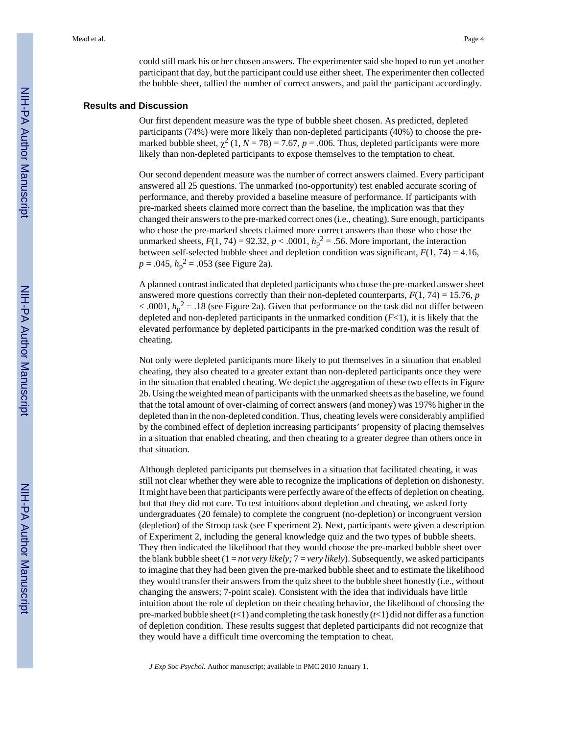could still mark his or her chosen answers. The experimenter said she hoped to run yet another participant that day, but the participant could use either sheet. The experimenter then collected the bubble sheet, tallied the number of correct answers, and paid the participant accordingly.

#### **Results and Discussion**

Our first dependent measure was the type of bubble sheet chosen. As predicted, depleted participants (74%) were more likely than non-depleted participants (40%) to choose the premarked bubble sheet,  $\chi^2$  (1, *N* = 78) = 7.67, *p* = .006. Thus, depleted participants were more likely than non-depleted participants to expose themselves to the temptation to cheat.

Our second dependent measure was the number of correct answers claimed. Every participant answered all 25 questions. The unmarked (no-opportunity) test enabled accurate scoring of performance, and thereby provided a baseline measure of performance. If participants with pre-marked sheets claimed more correct than the baseline, the implication was that they changed their answers to the pre-marked correct ones (i.e., cheating). Sure enough, participants who chose the pre-marked sheets claimed more correct answers than those who chose the unmarked sheets,  $F(1, 74) = 92.32$ ,  $p < .0001$ ,  $h_p^2 = .56$ . More important, the interaction between self-selected bubble sheet and depletion condition was significant,  $F(1, 74) = 4.16$ ,  $p = .045$ ,  $h_p^2 = .053$  (see Figure 2a).

A planned contrast indicated that depleted participants who chose the pre-marked answer sheet answered more questions correctly than their non-depleted counterparts,  $F(1, 74) = 15.76$ ,  $p$  $\langle 0.0001, h_p^2 \rangle = 0.18$  (see Figure 2a). Given that performance on the task did not differ between depleted and non-depleted participants in the unmarked condition  $(F<1)$ , it is likely that the elevated performance by depleted participants in the pre-marked condition was the result of cheating.

Not only were depleted participants more likely to put themselves in a situation that enabled cheating, they also cheated to a greater extant than non-depleted participants once they were in the situation that enabled cheating. We depict the aggregation of these two effects in Figure 2b. Using the weighted mean of participants with the unmarked sheets as the baseline, we found that the total amount of over-claiming of correct answers (and money) was 197% higher in the depleted than in the non-depleted condition. Thus, cheating levels were considerably amplified by the combined effect of depletion increasing participants' propensity of placing themselves in a situation that enabled cheating, and then cheating to a greater degree than others once in that situation.

Although depleted participants put themselves in a situation that facilitated cheating, it was still not clear whether they were able to recognize the implications of depletion on dishonesty. It might have been that participants were perfectly aware of the effects of depletion on cheating, but that they did not care. To test intuitions about depletion and cheating, we asked forty undergraduates (20 female) to complete the congruent (no-depletion) or incongruent version (depletion) of the Stroop task (see Experiment 2). Next, participants were given a description of Experiment 2, including the general knowledge quiz and the two types of bubble sheets. They then indicated the likelihood that they would choose the pre-marked bubble sheet over the blank bubble sheet  $(1 = not \, very \, likely; 7 = very \, likely).$  Subsequently, we asked participants to imagine that they had been given the pre-marked bubble sheet and to estimate the likelihood they would transfer their answers from the quiz sheet to the bubble sheet honestly (i.e., without changing the answers; 7-point scale). Consistent with the idea that individuals have little intuition about the role of depletion on their cheating behavior, the likelihood of choosing the pre-marked bubble sheet  $(t<1)$  and completing the task honestly  $(t<1)$  did not differ as a function of depletion condition. These results suggest that depleted participants did not recognize that they would have a difficult time overcoming the temptation to cheat.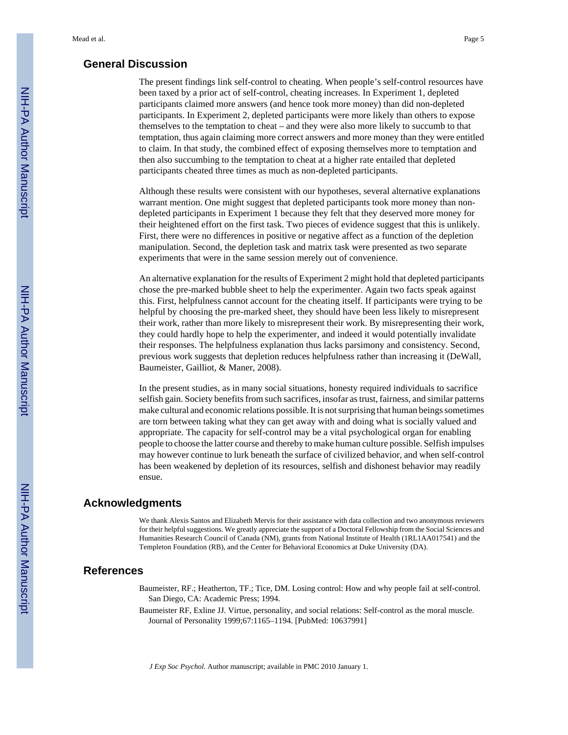#### **General Discussion**

The present findings link self-control to cheating. When people's self-control resources have been taxed by a prior act of self-control, cheating increases. In Experiment 1, depleted participants claimed more answers (and hence took more money) than did non-depleted participants. In Experiment 2, depleted participants were more likely than others to expose themselves to the temptation to cheat – and they were also more likely to succumb to that temptation, thus again claiming more correct answers and more money than they were entitled to claim. In that study, the combined effect of exposing themselves more to temptation and then also succumbing to the temptation to cheat at a higher rate entailed that depleted participants cheated three times as much as non-depleted participants.

Although these results were consistent with our hypotheses, several alternative explanations warrant mention. One might suggest that depleted participants took more money than nondepleted participants in Experiment 1 because they felt that they deserved more money for their heightened effort on the first task. Two pieces of evidence suggest that this is unlikely. First, there were no differences in positive or negative affect as a function of the depletion manipulation. Second, the depletion task and matrix task were presented as two separate experiments that were in the same session merely out of convenience.

An alternative explanation for the results of Experiment 2 might hold that depleted participants chose the pre-marked bubble sheet to help the experimenter. Again two facts speak against this. First, helpfulness cannot account for the cheating itself. If participants were trying to be helpful by choosing the pre-marked sheet, they should have been less likely to misrepresent their work, rather than more likely to misrepresent their work. By misrepresenting their work, they could hardly hope to help the experimenter, and indeed it would potentially invalidate their responses. The helpfulness explanation thus lacks parsimony and consistency. Second, previous work suggests that depletion reduces helpfulness rather than increasing it (DeWall, Baumeister, Gailliot, & Maner, 2008).

In the present studies, as in many social situations, honesty required individuals to sacrifice selfish gain. Society benefits from such sacrifices, insofar as trust, fairness, and similar patterns make cultural and economic relations possible. It is not surprising that human beings sometimes are torn between taking what they can get away with and doing what is socially valued and appropriate. The capacity for self-control may be a vital psychological organ for enabling people to choose the latter course and thereby to make human culture possible. Selfish impulses may however continue to lurk beneath the surface of civilized behavior, and when self-control has been weakened by depletion of its resources, selfish and dishonest behavior may readily ensue.

## **Acknowledgments**

We thank Alexis Santos and Elizabeth Mervis for their assistance with data collection and two anonymous reviewers for their helpful suggestions. We greatly appreciate the support of a Doctoral Fellowship from the Social Sciences and Humanities Research Council of Canada (NM), grants from National Institute of Health (1RL1AA017541) and the Templeton Foundation (RB), and the Center for Behavioral Economics at Duke University (DA).

# **References**

- Baumeister, RF.; Heatherton, TF.; Tice, DM. Losing control: How and why people fail at self-control. San Diego, CA: Academic Press; 1994.
- Baumeister RF, Exline JJ. Virtue, personality, and social relations: Self-control as the moral muscle. Journal of Personality 1999;67:1165–1194. [PubMed: 10637991]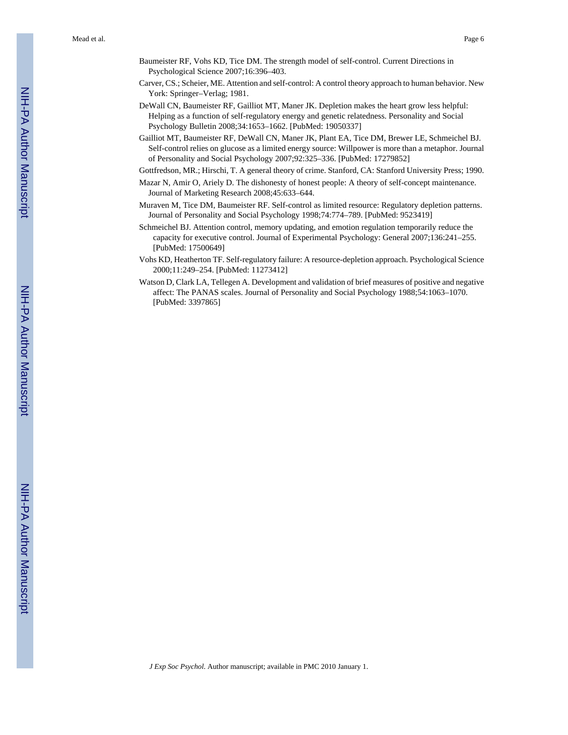Mead et al. Page 6

- Carver, CS.; Scheier, ME. Attention and self-control: A control theory approach to human behavior. New York: Springer–Verlag; 1981.
- DeWall CN, Baumeister RF, Gailliot MT, Maner JK. Depletion makes the heart grow less helpful: Helping as a function of self-regulatory energy and genetic relatedness. Personality and Social Psychology Bulletin 2008;34:1653–1662. [PubMed: 19050337]
- Gailliot MT, Baumeister RF, DeWall CN, Maner JK, Plant EA, Tice DM, Brewer LE, Schmeichel BJ. Self-control relies on glucose as a limited energy source: Willpower is more than a metaphor. Journal of Personality and Social Psychology 2007;92:325–336. [PubMed: 17279852]
- Gottfredson, MR.; Hirschi, T. A general theory of crime. Stanford, CA: Stanford University Press; 1990.
- Mazar N, Amir O, Ariely D. The dishonesty of honest people: A theory of self-concept maintenance. Journal of Marketing Research 2008;45:633–644.
- Muraven M, Tice DM, Baumeister RF. Self-control as limited resource: Regulatory depletion patterns. Journal of Personality and Social Psychology 1998;74:774–789. [PubMed: 9523419]
- Schmeichel BJ. Attention control, memory updating, and emotion regulation temporarily reduce the capacity for executive control. Journal of Experimental Psychology: General 2007;136:241–255. [PubMed: 17500649]
- Vohs KD, Heatherton TF. Self-regulatory failure: A resource-depletion approach. Psychological Science 2000;11:249–254. [PubMed: 11273412]
- Watson D, Clark LA, Tellegen A. Development and validation of brief measures of positive and negative affect: The PANAS scales. Journal of Personality and Social Psychology 1988;54:1063–1070. [PubMed: 3397865]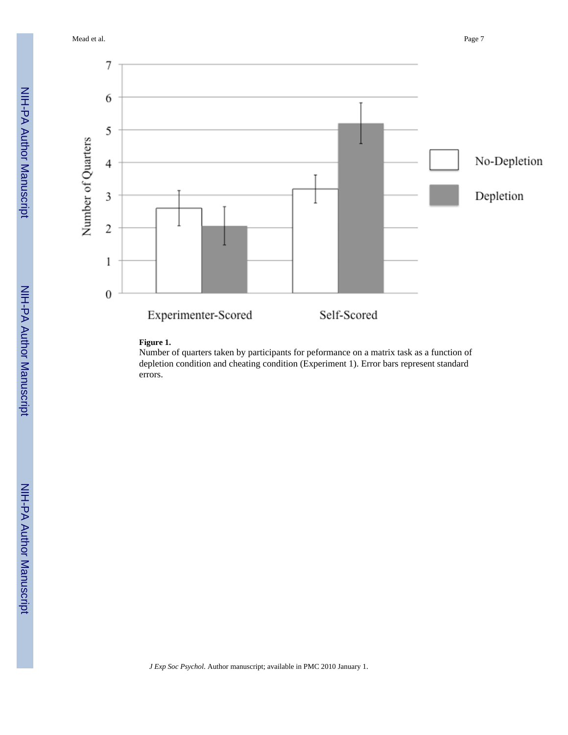Mead et al. Page 7

7



# **Figure 1.**

Number of quarters taken by participants for peformance on a matrix task as a function of depletion condition and cheating condition (Experiment 1). Error bars represent standard errors.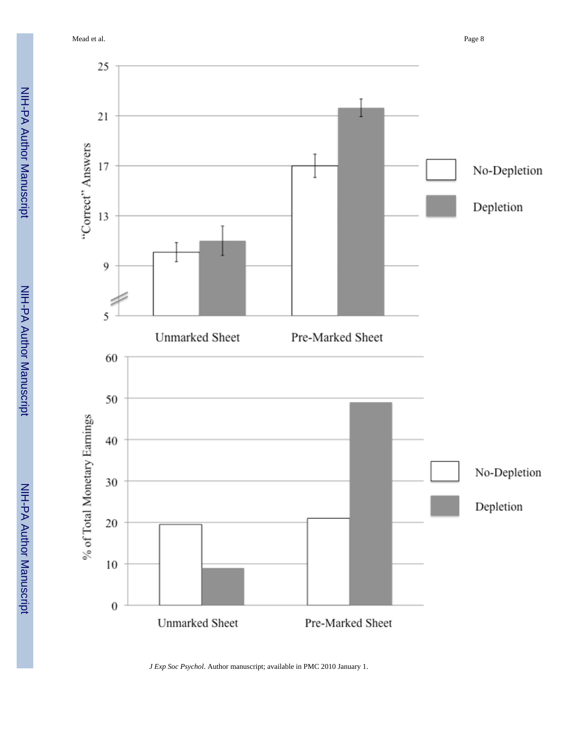Mead et al. Page 8

NIH-PA Author Manuscript

NIH-PA Author Manuscript

NIH-PA Author Manuscript

NIH-PA Author Manuscript

NIH-PA Author Manuscript

NIH-PA Author Manuscript